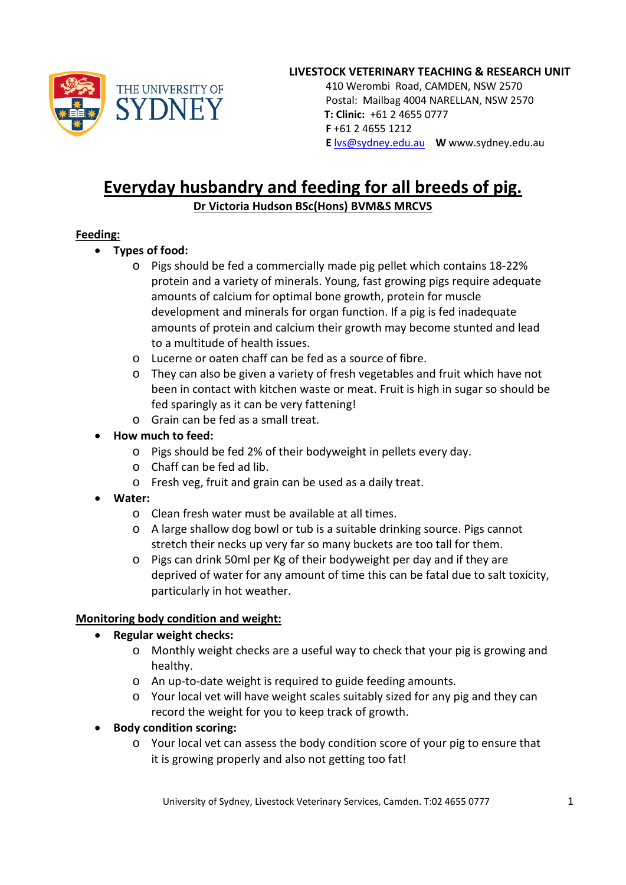

#### **LIVESTOCK VETERINARY TEACHING & RESEARCH UNIT**

 410 Werombi Road, CAMDEN, NSW 2570 Postal: Mailbag 4004 NARELLAN, NSW 2570 **T: Clinic:** +61 2 4655 0777  **F** +61 2 4655 1212  **E** [lvs@sydney.edu.au](mailto:lvs@sydney.edu.au) **W** www.sydney.edu.au

# **Everyday husbandry and feeding for all breeds of pig. Dr Victoria Hudson BSc(Hons) BVM&S MRCVS**

#### **Feeding:**

- **Types of food:**
	- o Pigs should be fed a commercially made pig pellet which contains 18-22% protein and a variety of minerals. Young, fast growing pigs require adequate amounts of calcium for optimal bone growth, protein for muscle development and minerals for organ function. If a pig is fed inadequate amounts of protein and calcium their growth may become stunted and lead to a multitude of health issues.
	- o Lucerne or oaten chaff can be fed as a source of fibre.
	- o They can also be given a variety of fresh vegetables and fruit which have not been in contact with kitchen waste or meat. Fruit is high in sugar so should be fed sparingly as it can be very fattening!
	- o Grain can be fed as a small treat.
- **How much to feed:**
	- o Pigs should be fed 2% of their bodyweight in pellets every day.
	- o Chaff can be fed ad lib.
	- o Fresh veg, fruit and grain can be used as a daily treat.
- **Water:**
	- o Clean fresh water must be available at all times.
	- o A large shallow dog bowl or tub is a suitable drinking source. Pigs cannot stretch their necks up very far so many buckets are too tall for them.
	- o Pigs can drink 50ml per Kg of their bodyweight per day and if they are deprived of water for any amount of time this can be fatal due to salt toxicity, particularly in hot weather.

#### **Monitoring body condition and weight:**

- **Regular weight checks:**
	- o Monthly weight checks are a useful way to check that your pig is growing and healthy.
	- o An up-to-date weight is required to guide feeding amounts.
	- o Your local vet will have weight scales suitably sized for any pig and they can record the weight for you to keep track of growth.
- **Body condition scoring:**
	- o Your local vet can assess the body condition score of your pig to ensure that it is growing properly and also not getting too fat!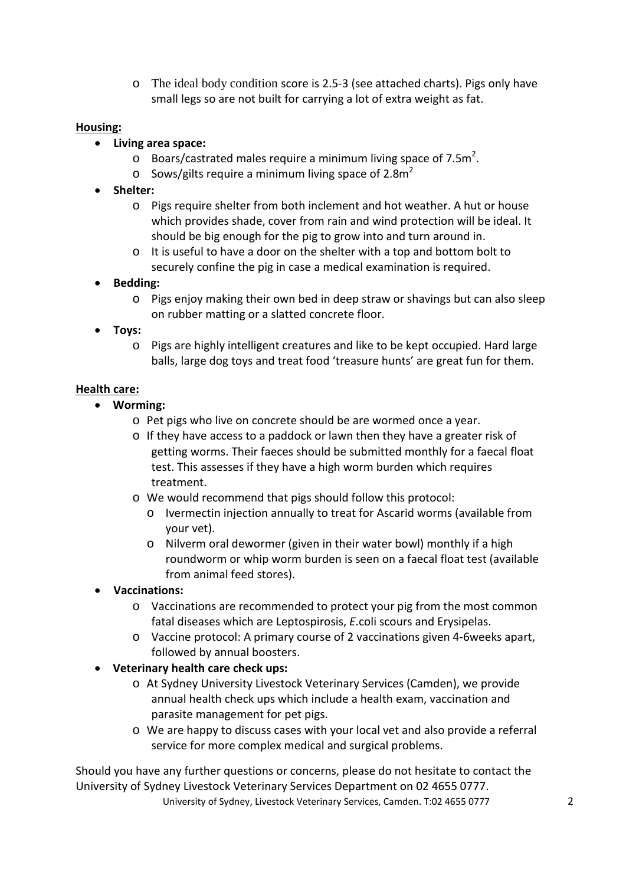o The ideal body condition score is 2.5-3 (see attached charts). Pigs only have small legs so are not built for carrying a lot of extra weight as fat.

### **Housing:**

- **Living area space:**
	- $\circ$  Boars/castrated males require a minimum living space of 7.5m<sup>2</sup>.
	- $\circ$  Sows/gilts require a minimum living space of 2.8m<sup>2</sup>
- **Shelter:**
	- o Pigs require shelter from both inclement and hot weather. A hut or house which provides shade, cover from rain and wind protection will be ideal. It should be big enough for the pig to grow into and turn around in.
	- o It is useful to have a door on the shelter with a top and bottom bolt to securely confine the pig in case a medical examination is required.

# • **Bedding:**

- o Pigs enjoy making their own bed in deep straw or shavings but can also sleep on rubber matting or a slatted concrete floor.
- **Toys:**
	- o Pigs are highly intelligent creatures and like to be kept occupied. Hard large balls, large dog toys and treat food 'treasure hunts' are great fun for them.

# **Health care:**

- **Worming:**
	- o Pet pigs who live on concrete should be are wormed once a year.
	- o If they have access to a paddock or lawn then they have a greater risk of getting worms. Their faeces should be submitted monthly for a faecal float test. This assesses if they have a high worm burden which requires treatment.
	- o We would recommend that pigs should follow this protocol:
		- o Ivermectin injection annually to treat for Ascarid worms (available from your vet).
		- o Nilverm oral dewormer (given in their water bowl) monthly if a high roundworm or whip worm burden is seen on a faecal float test (available from animal feed stores).
- **Vaccinations:**
	- o Vaccinations are recommended to protect your pig from the most common fatal diseases which are Leptospirosis, *E*.coli scours and Erysipelas.
	- o Vaccine protocol: A primary course of 2 vaccinations given 4-6weeks apart, followed by annual boosters.
- **Veterinary health care check ups:**
	- o At Sydney University Livestock Veterinary Services (Camden), we provide annual health check ups which include a health exam, vaccination and parasite management for pet pigs.
	- o We are happy to discuss cases with your local vet and also provide a referral service for more complex medical and surgical problems.

Should you have any further questions or concerns, please do not hesitate to contact the University of Sydney Livestock Veterinary Services Department on 02 4655 0777.

University of Sydney, Livestock Veterinary Services, Camden. T:02 4655 0777 2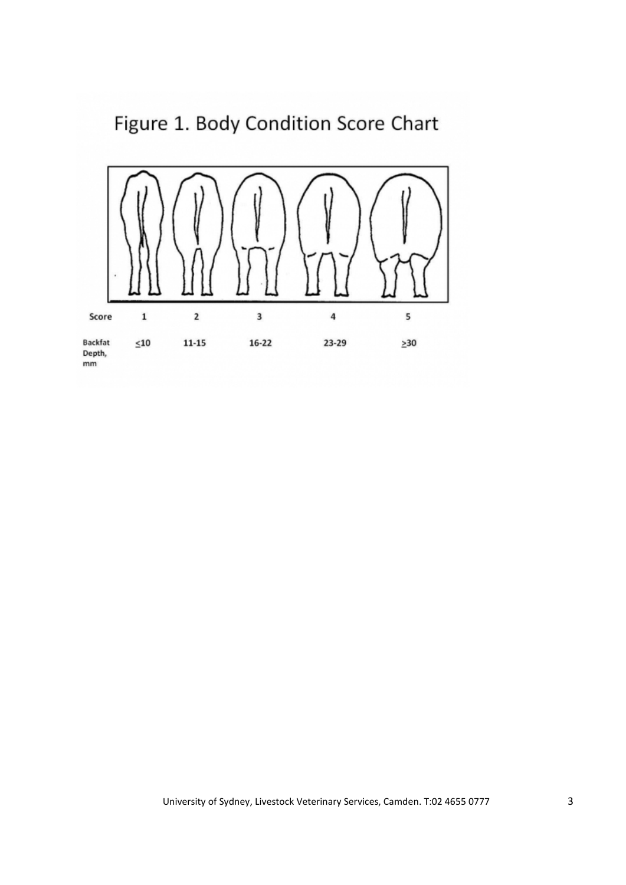Figure 1. Body Condition Score Chart